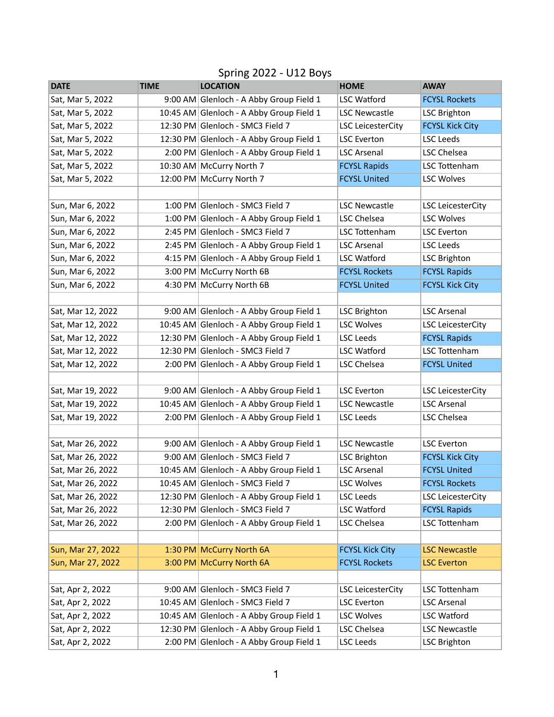| <b>DATE</b>       | <b>TIME</b> | <b>LOCATION</b>                          | <b>HOME</b>              | <b>AWAY</b>              |
|-------------------|-------------|------------------------------------------|--------------------------|--------------------------|
| Sat, Mar 5, 2022  |             | 9:00 AM Glenloch - A Abby Group Field 1  | <b>LSC Watford</b>       | <b>FCYSL Rockets</b>     |
| Sat, Mar 5, 2022  |             | 10:45 AM Glenloch - A Abby Group Field 1 | <b>LSC Newcastle</b>     | <b>LSC Brighton</b>      |
| Sat, Mar 5, 2022  |             | 12:30 PM Glenloch - SMC3 Field 7         | <b>LSC LeicesterCity</b> | <b>FCYSL Kick City</b>   |
| Sat, Mar 5, 2022  |             | 12:30 PM Glenloch - A Abby Group Field 1 | <b>LSC Everton</b>       | <b>LSC Leeds</b>         |
| Sat, Mar 5, 2022  |             | 2:00 PM Glenloch - A Abby Group Field 1  | <b>LSC Arsenal</b>       | LSC Chelsea              |
| Sat, Mar 5, 2022  |             | 10:30 AM McCurry North 7                 | <b>FCYSL Rapids</b>      | <b>LSC Tottenham</b>     |
| Sat, Mar 5, 2022  |             | 12:00 PM McCurry North 7                 | <b>FCYSL United</b>      | <b>LSC Wolves</b>        |
|                   |             |                                          |                          |                          |
| Sun, Mar 6, 2022  |             | 1:00 PM Glenloch - SMC3 Field 7          | <b>LSC Newcastle</b>     | <b>LSC LeicesterCity</b> |
| Sun, Mar 6, 2022  |             | 1:00 PM Glenloch - A Abby Group Field 1  | LSC Chelsea              | <b>LSC Wolves</b>        |
| Sun, Mar 6, 2022  |             | 2:45 PM Glenloch - SMC3 Field 7          | LSC Tottenham            | <b>LSC Everton</b>       |
| Sun, Mar 6, 2022  |             | 2:45 PM Glenloch - A Abby Group Field 1  | <b>LSC Arsenal</b>       | <b>LSC Leeds</b>         |
| Sun, Mar 6, 2022  |             | 4:15 PM Glenloch - A Abby Group Field 1  | <b>LSC Watford</b>       | <b>LSC Brighton</b>      |
| Sun, Mar 6, 2022  |             | 3:00 PM McCurry North 6B                 | <b>FCYSL Rockets</b>     | <b>FCYSL Rapids</b>      |
| Sun, Mar 6, 2022  |             | 4:30 PM McCurry North 6B                 | <b>FCYSL United</b>      | <b>FCYSL Kick City</b>   |
|                   |             |                                          |                          |                          |
| Sat, Mar 12, 2022 |             | 9:00 AM Glenloch - A Abby Group Field 1  | <b>LSC Brighton</b>      | <b>LSC Arsenal</b>       |
| Sat, Mar 12, 2022 |             | 10:45 AM Glenloch - A Abby Group Field 1 | <b>LSC Wolves</b>        | <b>LSC LeicesterCity</b> |
| Sat, Mar 12, 2022 |             | 12:30 PM Glenloch - A Abby Group Field 1 | <b>LSC Leeds</b>         | <b>FCYSL Rapids</b>      |
| Sat, Mar 12, 2022 |             | 12:30 PM Glenloch - SMC3 Field 7         | <b>LSC Watford</b>       | <b>LSC Tottenham</b>     |
| Sat, Mar 12, 2022 |             | 2:00 PM Glenloch - A Abby Group Field 1  | LSC Chelsea              | <b>FCYSL United</b>      |
|                   |             |                                          |                          |                          |
| Sat, Mar 19, 2022 |             | 9:00 AM Glenloch - A Abby Group Field 1  | <b>LSC Everton</b>       | <b>LSC LeicesterCity</b> |
| Sat, Mar 19, 2022 |             | 10:45 AM Glenloch - A Abby Group Field 1 | <b>LSC Newcastle</b>     | <b>LSC Arsenal</b>       |
| Sat, Mar 19, 2022 |             | 2:00 PM Glenloch - A Abby Group Field 1  | <b>LSC Leeds</b>         | LSC Chelsea              |
|                   |             |                                          |                          |                          |
| Sat, Mar 26, 2022 |             | 9:00 AM Glenloch - A Abby Group Field 1  | <b>LSC Newcastle</b>     | <b>LSC Everton</b>       |
| Sat, Mar 26, 2022 |             | 9:00 AM Glenloch - SMC3 Field 7          | <b>LSC Brighton</b>      | <b>FCYSL Kick City</b>   |
| Sat, Mar 26, 2022 |             | 10:45 AM Glenloch - A Abby Group Field 1 | <b>LSC Arsenal</b>       | <b>FCYSL United</b>      |
| Sat, Mar 26, 2022 |             | 10:45 AM Glenloch - SMC3 Field 7         | LSC Wolves               | <b>FCYSL Rockets</b>     |
| Sat, Mar 26, 2022 |             | 12:30 PM Glenloch - A Abby Group Field 1 | <b>LSC Leeds</b>         | <b>LSC LeicesterCity</b> |
| Sat, Mar 26, 2022 |             | 12:30 PM Glenloch - SMC3 Field 7         | <b>LSC Watford</b>       | <b>FCYSL Rapids</b>      |
| Sat, Mar 26, 2022 |             | 2:00 PM Glenloch - A Abby Group Field 1  | LSC Chelsea              | LSC Tottenham            |
|                   |             |                                          |                          |                          |
| Sun, Mar 27, 2022 |             | 1:30 PM McCurry North 6A                 | <b>FCYSL Kick City</b>   | <b>LSC Newcastle</b>     |
| Sun, Mar 27, 2022 |             | 3:00 PM McCurry North 6A                 | <b>FCYSL Rockets</b>     | <b>LSC Everton</b>       |
|                   |             |                                          |                          |                          |
| Sat, Apr 2, 2022  |             | 9:00 AM Glenloch - SMC3 Field 7          | <b>LSC LeicesterCity</b> | LSC Tottenham            |
| Sat, Apr 2, 2022  |             | 10:45 AM Glenloch - SMC3 Field 7         | <b>LSC Everton</b>       | <b>LSC Arsenal</b>       |
| Sat, Apr 2, 2022  |             | 10:45 AM Glenloch - A Abby Group Field 1 | <b>LSC Wolves</b>        | <b>LSC Watford</b>       |
| Sat, Apr 2, 2022  |             | 12:30 PM Glenloch - A Abby Group Field 1 | LSC Chelsea              | <b>LSC Newcastle</b>     |
| Sat, Apr 2, 2022  |             | 2:00 PM Glenloch - A Abby Group Field 1  | LSC Leeds                | <b>LSC Brighton</b>      |

## Spring 2022 - U12 Boys